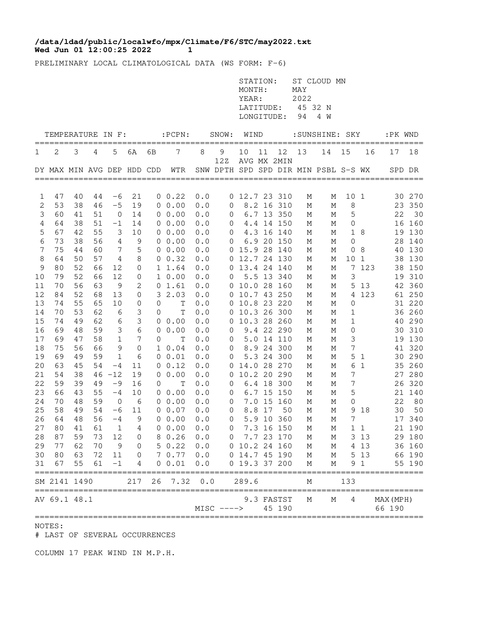## **Wed Jun 01 12:00:25 2022 1 /data/ldad/public/localwfo/mpx/Climate/F6/STC/may2022.txt**

PRELIMINARY LOCAL CLIMATOLOGICAL DATA (WS FORM: F-6)

|                |                                      |    |    |                |                     |                  |                                |     |                | STATION:<br>MONTH:<br>YEAR:<br>LONGITUDE: |        |             | MAY<br>2022<br>LATITUDE: 45 32 N<br>94 | ST CLOUD MN<br>4 W                         |                  |           |                    |        |
|----------------|--------------------------------------|----|----|----------------|---------------------|------------------|--------------------------------|-----|----------------|-------------------------------------------|--------|-------------|----------------------------------------|--------------------------------------------|------------------|-----------|--------------------|--------|
|                | TEMPERATURE IN F:                    |    |    |                |                     |                  | $:$ $PCPN:$                    |     | SNOW: WIND     |                                           |        |             |                                        | :SUNSHINE: SKY                             |                  |           | :PK WND            |        |
| 1              | 2                                    | 3  | 4  | 5              | 6A                  | ==========<br>6В | 7                              | 8   | 9              | 10                                        | 11     | 12          | 13                                     | ------------------------------------<br>14 | 15               | 16        | ============<br>17 | 18     |
|                |                                      |    |    |                |                     |                  | DY MAX MIN AVG DEP HDD CDD WTR |     | 12Z            |                                           |        | AVG MX 2MIN |                                        | SNW DPTH SPD SPD DIR MIN PSBL S-S WX       |                  |           |                    | SPD DR |
|                |                                      |    |    |                |                     |                  |                                |     |                |                                           |        |             |                                        |                                            |                  |           |                    |        |
| 1              | 47                                   | 40 | 44 | $-6$           | 21                  |                  | 0 0.22                         | 0.0 |                | $0$ 12.7 23 310                           |        |             | М                                      | М                                          | 10 <sub>1</sub>  |           |                    | 30 270 |
| 2              | 53                                   | 38 | 46 | $-5$           | 19                  |                  | 0 0.00                         | 0.0 | $\overline{0}$ |                                           |        | 8.2 16 310  | М                                      | М                                          | 8                |           |                    | 23 350 |
| 3              | 60                                   | 41 | 51 | $\overline{0}$ | 14                  |                  | $0\ 0.00$                      | 0.0 | $\overline{0}$ |                                           |        | 6.7 13 350  | М                                      | М                                          | 5                |           | 22                 | 30     |
| $\overline{4}$ | 64                                   | 38 | 51 | $-1$           | 14                  |                  | $0\;\;0.00$                    | 0.0 | $\overline{0}$ |                                           |        | 4.4 14 150  | М                                      | М                                          | 0                |           |                    | 16 160 |
| 5              | 67                                   | 42 | 55 | 3              | 10                  |                  | $0\;\;0.00$                    | 0.0 | $\overline{0}$ |                                           |        | 4.3 16 140  | М                                      | М                                          |                  | 1 8       |                    | 19 130 |
| $\epsilon$     | 73                                   | 38 | 56 | $\overline{4}$ | 9                   |                  | 0, 0.00                        | 0.0 | $\overline{0}$ |                                           |        | 6.9 20 150  | М                                      | М                                          | $\mathbf 0$      |           |                    | 28 140 |
| 7              | 75                                   | 44 | 60 | 7              | 5                   |                  | $0\;\;0.00$                    | 0.0 |                | 0 15.9 28 140                             |        |             | М                                      | М                                          |                  | 08        |                    | 40 130 |
| 8              | 64                                   | 50 | 57 | 4              | 8                   |                  | 0 0.32                         | 0.0 |                | 0 12.7 24 130                             |        |             | М                                      | М                                          | 10 <sub>1</sub>  |           |                    | 38 130 |
| $\mathsf 9$    | 80                                   | 52 | 66 | 12             | $\mathbf 0$         |                  | 1 1.64                         | 0.0 |                | 0 13.4 24 140                             |        |             | М                                      | М                                          |                  | 7 123     |                    | 38 150 |
| 10             | 79                                   | 52 | 66 | 12             | 0                   |                  | 10.00                          | 0.0 | $\overline{0}$ |                                           |        | 5.5 13 340  | М                                      | М                                          | 3                |           |                    | 19 310 |
| 11             | 70                                   | 56 | 63 | - 9            | 2                   |                  | 01.61                          | 0.0 |                | $0$ 10.0 28 160                           |        |             | М                                      | М                                          |                  | 5 1 3     |                    | 42 360 |
| 12             | 84                                   | 52 | 68 | 13             | $\mathbf 0$         |                  | 32.03                          | 0.0 |                | $0$ 10.7 43 250                           |        |             | М                                      | М                                          |                  | 4 1 2 3   |                    | 61 250 |
| 13             | 74                                   | 55 | 65 | 10             | 0                   | 0                | Τ                              | 0.0 |                | 0 10.8 23 220                             |        |             | М                                      | М                                          | 0                |           |                    | 31 220 |
| 14             | 70                                   | 53 | 62 | 6              | 3                   | 0                | T                              | 0.0 |                | 0 10.3 26 300                             |        |             | М                                      | М                                          | 1                |           |                    | 36 260 |
| 15             | 74                                   | 49 | 62 | 6              | $\mathsf 3$         |                  | $0\;\;0.00$                    | 0.0 |                | 0 10.3 28 260                             |        |             | М                                      | М                                          | $\mathbf{1}$     |           |                    | 40 290 |
| 16             | 69                                   | 48 | 59 | $\mathfrak{Z}$ | $\epsilon$          |                  | 0 0.00                         | 0.0 | $\mathbf 0$    |                                           |        | 9.4 22 290  | М                                      | М                                          | $\mathbf 0$      |           |                    | 30 310 |
| 17             | 69                                   | 47 | 58 | $\mathbf{1}$   | 7                   | 0                | Т                              | 0.0 | 0              |                                           |        | 5.0 14 110  | М                                      | М                                          | 3                |           |                    | 19 130 |
| 18             | 75                                   | 56 | 66 | 9              | $\mathsf{O}\xspace$ |                  | $1\;\;0.04$                    | 0.0 | $\overline{0}$ |                                           |        | 8.9 24 300  | М                                      | М                                          | 7                |           |                    | 41 320 |
| 19             | 69                                   | 49 | 59 | 1              | 6                   |                  | 0 0.01                         | 0.0 | 0              |                                           |        | 5.3 24 300  | М                                      | М                                          | 5                | 1         |                    | 30 290 |
| 20             | 63                                   | 45 | 54 | $-4$           | 11                  |                  | $0 \t 0.12$                    | 0.0 |                | 0 14.0 28 270                             |        |             | М                                      | М                                          | 6                | 1         |                    | 35 260 |
| 21             | 54                                   | 38 |    | $46 - 12$      | 19                  |                  | 00.00                          | 0.0 |                | 0 10.2 20 290                             |        |             | М                                      | М                                          | $\boldsymbol{7}$ |           |                    | 27 280 |
| 22             | 59                                   | 39 | 49 | $-9$           | 16                  | 0                | Т                              | 0.0 | 0              |                                           |        | 6.4 18 300  | М                                      | М                                          | 7                |           |                    | 26 320 |
| 23             | 66                                   | 43 | 55 | $-4$           | 10                  |                  | $0\;\;0.00$                    | 0.0 | 0              |                                           |        | 6.7 15 150  | М                                      | М                                          | 5                |           |                    | 21 140 |
| 24             | 70                                   | 48 | 59 | $\overline{0}$ | - 6                 |                  | $0\;\;0.00$                    | 0.0 | $\overline{0}$ |                                           |        | 7.0 15 160  | М                                      | М                                          | 0                |           | 22                 | 80     |
| 25             | 58                                   | 49 | 54 | $-6$           | 11                  |                  | $0\;\;0.07$                    | 0.0 | $\overline{0}$ |                                           | 8.8 17 | 50          | М                                      | М                                          |                  | 9 18      |                    | 30 50  |
| 26             | 64                                   | 48 | 56 | $-4$           | $\overline{9}$      |                  | 0 0.00                         | 0.0 | $\circ$        |                                           |        | 5.9 10 360  | М                                      | М                                          | 7                |           |                    | 17 340 |
| 27             | 80                                   | 41 | 61 | $\overline{1}$ | $\overline{4}$      |                  | 0, 0.00                        | 0.0 | $\overline{0}$ |                                           |        | 7.3 16 150  | М                                      | М                                          |                  | $1\quad1$ |                    | 21 190 |
|                | 28 87                                | 59 |    |                |                     |                  | 73 12 0 8 0.26 0.0             |     |                | 0 7.7 23 170 M                            |        |             |                                        |                                            | M 3 13           |           |                    | 29 180 |
| 29             | 77                                   | 62 |    | 70 9           |                     | $\overline{0}$   | 50.22                          | 0.0 |                | 0 10.2 24 160                             |        |             | M                                      | М                                          |                  | 4 13      |                    | 36 160 |
| 30             | 80                                   | 63 |    | 72 11          |                     |                  | $0 \t 7 \t 0.77 \t 0.0$        |     | 0 14.7 45 190  |                                           |        |             | $M_{\odot}$                            | М                                          |                  | 5 1 3     |                    | 66 190 |
| 31             | 67                                   | 55 | 61 | $-1$           | 4                   |                  | 0 0.01                         | 0.0 |                | 0 19.3 37 200                             |        |             | М                                      | М                                          |                  | 9 1       |                    | 55 190 |
|                | SM 2141 1490<br>==================== |    |    |                | 217                 |                  | 26 7.32 0.0                    |     | ===========    | 289.6                                     |        |             | М<br>===============                   |                                            | 133              |           | =============      |        |
|                | AV 69.1 48.1                         |    |    |                |                     |                  |                                |     |                |                                           |        | 9.3 FASTST  | М                                      | М                                          | 4                |           | MAX (MPH)          |        |
|                |                                      |    |    |                |                     |                  |                                |     | $MISC$ ---->   |                                           |        | 45 190      |                                        |                                            |                  |           | 66 190             |        |

NOTES:

# LAST OF SEVERAL OCCURRENCES

COLUMN 17 PEAK WIND IN M.P.H.